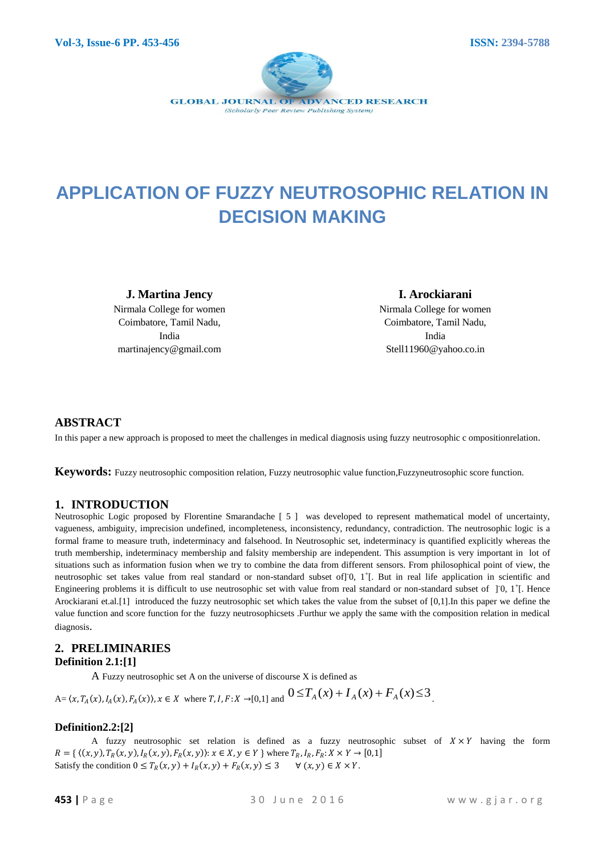

# **APPLICATION OF FUZZY NEUTROSOPHIC RELATION IN DECISION MAKING**

**J. Martina Jency** Nirmala College for women Coimbatore, Tamil Nadu, India martinajency@gmail.com

# **I. Arockiarani** Nirmala College for women Coimbatore, Tamil Nadu, India

Stell11960@yahoo.co.in

## **ABSTRACT**

In this paper a new approach is proposed to meet the challenges in medical diagnosis using fuzzy neutrosophic c ompositionrelation.

**Keywords:** Fuzzy neutrosophic composition relation, Fuzzy neutrosophic value function,Fuzzyneutrosophic score function.

## **1. INTRODUCTION**

Neutrosophic Logic proposed by Florentine Smarandache [ 5 ] was developed to represent mathematical model of uncertainty, vagueness, ambiguity, imprecision undefined, incompleteness, inconsistency, redundancy, contradiction. The neutrosophic logic is a formal frame to measure truth, indeterminacy and falsehood. In Neutrosophic set, indeterminacy is quantified explicitly whereas the truth membership, indeterminacy membership and falsity membership are independent. This assumption is very important in lot of situations such as information fusion when we try to combine the data from different sensors. From philosophical point of view, the neutrosophic set takes value from real standard or non-standard subset of  $]0, 1^{\dagger}$ . But in real life application in scientific and Engineering problems it is difficult to use neutrosophic set with value from real standard or non-standard subset of  $\,$  J $\,$ O,  $\,$ 1<sup>+</sup> $\,$ [. Hence Arockiarani et.al.[1] introduced the fuzzy neutrosophic set which takes the value from the subset of [0,1].In this paper we define the value function and score function for the fuzzy neutrosophicsets .Furthur we apply the same with the composition relation in medical diagnosis.

#### **2. PRELIMINARIES Definition 2.1:[1]**

A Fuzzy neutrosophic set A on the universe of discourse X is defined as

 $A = \langle x, T_A(x), I_A(x), F_A(x) \rangle, x \in X$  where  $T, I, F: X \to [0,1]$  and  $0 \le T_A(x) + I_A(x) + F_A(x) \le 3$ .

## **Definition2.2:[2]**

A fuzzy neutrosophic set relation is defined as a fuzzy neutrosophic subset of  $X \times Y$  having the form  $R = \{ ((x, y), T_R(x, y), I_R(x, y), F_R(x, y)) : x \in X, y \in Y \}$  where  $T_R, I_R, F_R: X \times Y \to [0, 1]$ Satisfy the condition  $0 \le T_R(x, y) + I_R(x, y) + F_R(x, y) \le 3 \quad \forall (x, y) \in X \times Y$ .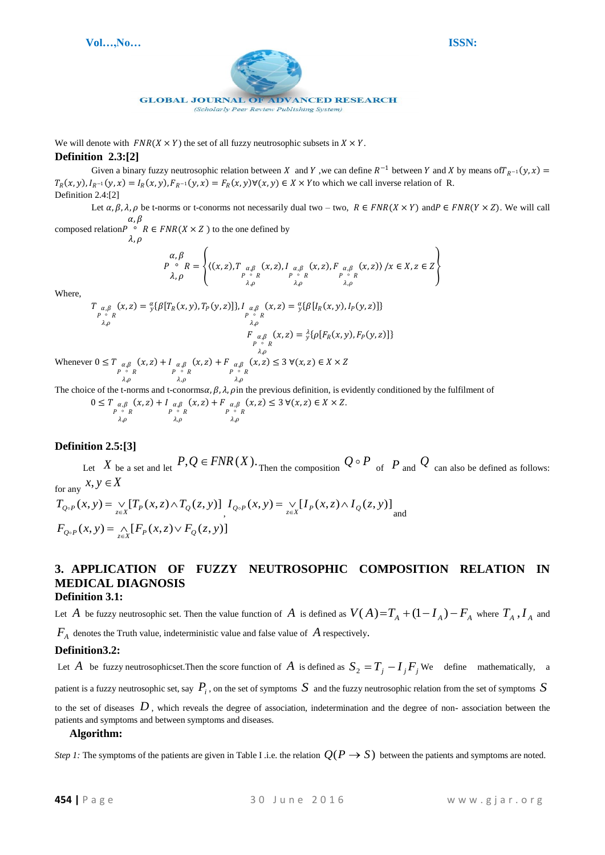

(Scholarly Peer Review Publishing System)

We will denote with  $FNR(X \times Y)$  the set of all fuzzy neutrosophic subsets in  $X \times Y$ .

#### **Definition 2.3:[2]**

Given a binary fuzzy neutrosophic relation between X and Y, we can define  $R^{-1}$  between Y and X by means of  $T_{R^{-1}}(y, x) =$  $T_R(x, y), I_{R^{-1}}(y, x) = I_R(x, y), F_{R^{-1}}(y, x) = F_R(x, y) \forall (x, y) \in X \times Y$  to which we call inverse relation of R. Definition 2.4:[2]

Let  $\alpha, \beta, \lambda, \rho$  be t-norms or t-conorms not necessarily dual two – two,  $R \in FNR(X \times Y)$  and  $P \in FNR(Y \times Z)$ . We will call  $\alpha$ ,  $\beta$ 

composed relation °  $\lambda, \rho$  $R \in FNR(X \times Z)$  to the one defined by

$$
\begin{array}{c}\n\alpha, \beta \\
P \circ R = \left\{ \left\langle (x, z), T \underset{P \circ R}{\underset{\alpha, \beta}{\alpha, \beta}} (x, z), I \underset{P \circ R}{\underset{\alpha, \beta}{\alpha, \beta}} (x, z), F \underset{P \circ R}{\underset{\alpha, \beta}{\alpha, \beta}} (x, z) \right\rangle / x \in X, z \in Z \right\}\n\end{array}
$$

Where,

Whene

$$
T_{\alpha,\beta}(x,z) = \frac{\alpha}{y} \{\beta[T_R(x,y), T_P(y,z)]\}, I_{\alpha,\beta}(x,z) = \frac{\alpha}{y} \{\beta[I_R(x,y), I_P(y,z)]\}
$$
  
\n
$$
F_{\alpha,\beta}(x,z) = \frac{\lambda}{y} \{\rho[F_R(x,y), F_P(y,z)]\}
$$
  
\n
$$
F_{\alpha,\beta}(x,z) = \frac{\lambda}{y} \{\rho[F_R(x,y), F_P(y,z)]\}
$$
  
\n
$$
P_{\alpha,\beta}(x,z) + I_{\alpha,\beta}(x,z) + F_{\alpha,\beta}(x,z) \le 3 \forall (x,z) \in X \times Z
$$
  
\n
$$
P_{\alpha,\beta}(x,z) + I_{\alpha,\beta}(x,z) + F_{\alpha,\beta}(x,z) \le 3 \forall (x,z) \in X \times Z
$$

The choice of the t-norms and t-conorms $\alpha$ ,  $\beta$ ,  $\lambda$ ,  $\rho$  in the previous definition, is evidently conditioned by the fulfilment of

$$
0 \leq T \underset{\substack{P \circ R \\ \lambda, \rho}}{\underset{\alpha, \beta}{\underset{\gamma \circ R}{\times} (x, z) + I}} \underset{\substack{\alpha, \beta \\ \lambda, \rho}}{\underset{\gamma \circ R}{\underset{\gamma \circ R}{\times} (x, z) + F}} \underset{\substack{\alpha, \beta \\ \lambda, \rho}}{\underset{\gamma \circ R}{\times} (x, z) \leq 3 \, \forall (x, z) \in X \times Z}.
$$

## **Definition 2.5:[3]**

Let X be a set and let  $P, Q \in FNR(X)$ . Then the composition  $Q \circ P$  of P and Q can also be defined as follows: for any  $x, y \in X$  $T_{Q \circ P}(x, y) = \bigvee_{z \in X} [T_P(x, z) \wedge T_Q(z, y)] I_{Q \circ P}(x, y) = \bigvee_{z \in X} [I_P(x, z) \wedge I_Q(z, y)]$  and  $F_{Q \circ P}(x, y) = \bigwedge_{z \in X} [F_P(x, z) \vee F_Q(z, y)]$ 

## **3. APPLICATION OF FUZZY NEUTROSOPHIC COMPOSITION RELATION IN MEDICAL DIAGNOSIS Definition 3.1:**

Let A be fuzzy neutrosophic set. Then the value function of A is defined as  $V(A)=T_A+(1-I_A)-F_A$  where  $T_A$ ,  $I_A$  and

 $F_A$  denotes the Truth value, indeterministic value and false value of  $A$  respectively.

## **Definition3.2:**

Let  $A$  be fuzzy neutrosophicset. Then the score function of  $A$  is defined as  $S_2 = T_j - I_j F_j$  We define mathematically, a

patient is a fuzzy neutrosophic set, say  $\,P_i$  , on the set of symptoms  $\,S\,$  and the fuzzy neutrosophic relation from the set of symptoms  $\,S\,$ 

to the set of diseases  $D$ , which reveals the degree of association, indetermination and the degree of non-association between the patients and symptoms and between symptoms and diseases.

#### **Algorithm:**

*Step 1*: The symptoms of the patients are given in Table I .i.e. the relation  $Q(P \to S)$  between the patients and symptoms are noted.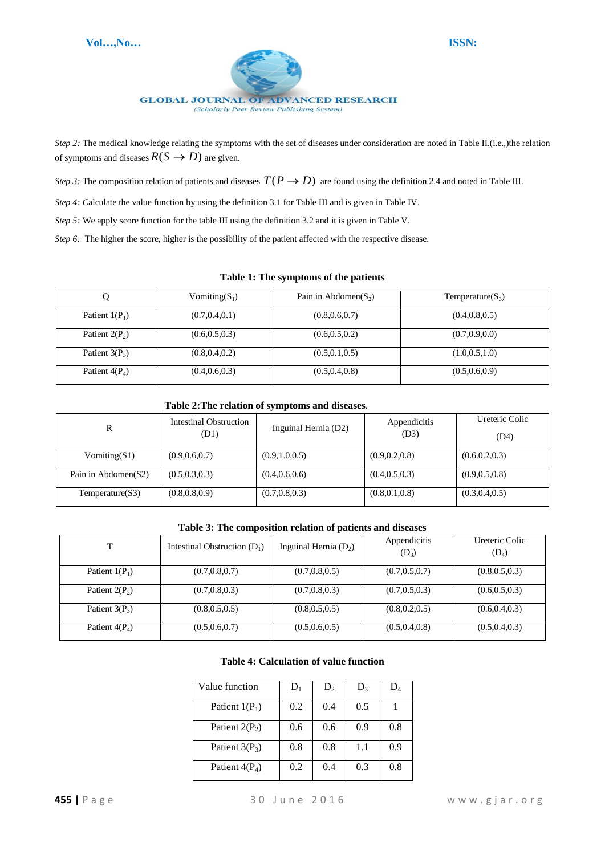

*Step 2:* The medical knowledge relating the symptoms with the set of diseases under consideration are noted in Table II.(i.e.,)the relation of symptoms and diseases  $R(S \to D)$  are given.

*Step 3:* The composition relation of patients and diseases  $T(P \to D)$  are found using the definition 2.4 and noted in Table III.

*Step 4: Calculate the value function by using the definition 3.1 for Table III and is given in Table IV.* 

*Step 5:* We apply score function for the table III using the definition 3.2 and it is given in Table V.

*Step 6:* The higher the score, higher is the possibility of the patient affected with the respective disease.

#### **Table 1: The symptoms of the patients**

|                  | Vomiting $(S_1)$ | Pain in Abdomen $(S_2)$ | Temperature( $S_3$ ) |
|------------------|------------------|-------------------------|----------------------|
| Patient $1(P_1)$ | (0.7, 0.4, 0.1)  | (0.8, 0.6, 0.7)         | (0.4, 0.8, 0.5)      |
| Patient $2(P_2)$ | (0.6, 0.5, 0.3)  | (0.6, 0.5, 0.2)         | (0.7, 0.9, 0.0)      |
| Patient $3(P_3)$ | (0.8, 0.4, 0.2)  | (0.5, 0.1, 0.5)         | (1.0, 0.5, 1.0)      |
| Patient $4(P_4)$ | (0.4, 0.6, 0.3)  | (0.5, 0.4, 0.8)         | (0.5, 0.6, 0.9)      |

#### **Table 2:The relation of symptoms and diseases.**

| R                   | <b>Intestinal Obstruction</b><br>(D1) | Inguinal Hernia (D2) | Appendicitis<br>(D3) | Ureteric Colic<br>(D4) |
|---------------------|---------------------------------------|----------------------|----------------------|------------------------|
| $V$ omiting(S1)     | (0.9, 0.6, 0.7)                       | (0.9, 1.0, 0.5)      | (0.9, 0.2, 0.8)      | (0.6.0.2, 0.3)         |
| Pain in Abdomen(S2) | (0.5, 0.3, 0.3)                       | (0.4, 0.6, 0.6)      | (0.4, 0.5, 0.3)      | (0.9, 0.5, 0.8)        |
| Temperature(S3)     | (0.8, 0.8, 0.9)                       | (0.7, 0.8, 0.3)      | (0.8, 0.1, 0.8)      | (0.3, 0.4, 0.5)        |

#### **Table 3: The composition relation of patients and diseases**

| T                | Intestinal Obstruction $(D_1)$ | Inguinal Hernia $(D_2)$ | Appendicitis<br>$(D_3)$ | Ureteric Colic<br>$(D_4)$ |
|------------------|--------------------------------|-------------------------|-------------------------|---------------------------|
| Patient $1(P_1)$ | (0.7, 0.8, 0.7)                | (0.7, 0.8, 0.5)         | (0.7, 0.5, 0.7)         | (0.8.0.5.0.3)             |
| Patient $2(P_2)$ | (0.7, 0.8, 0.3)                | (0.7, 0.8, 0.3)         | (0.7, 0.5, 0.3)         | (0.6, 0.5, 0.3)           |
| Patient $3(P_3)$ | (0.8, 0.5, 0.5)                | (0.8, 0.5, 0.5)         | (0.8, 0.2, 0.5)         | (0.6, 0.4, 0.3)           |
| Patient $4(P_4)$ | (0.5, 0.6, 0.7)                | (0.5, 0.6, 0.5)         | (0.5, 0.4, 0.8)         | (0.5, 0.4, 0.3)           |

#### **Table 4: Calculation of value function**

| Value function   | $D_1$ | $D_2$ | $D_3$ | $\mathbf{D}_4$ |
|------------------|-------|-------|-------|----------------|
| Patient $1(P_1)$ | 0.2   | 0.4   | 0.5   |                |
| Patient $2(P_2)$ | 0.6   | 0.6   | 0.9   | 0.8            |
| Patient $3(P_3)$ | 0.8   | 0.8   | 1.1   | 0.9            |
| Patient $4(P_4)$ | 0.2   | 0.4   | 0.3   | 0.8            |